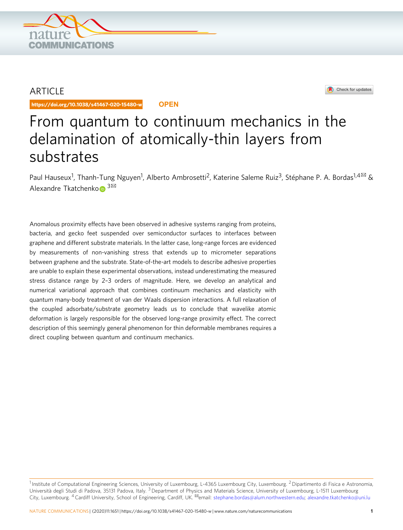

## **ARTICLE**

https://doi.org/10.1038/s41467-020-15480-w **OPEN**



# From quantum to continuum mechanics in the delamination of atomically-thin layers from substrates

Paul Hauseux<sup>1</sup>, Thanh-Tung Nguyen<sup>1</sup>, Alberto Ambrosetti<sup>2</sup>, Katerine Saleme Ruiz<sup>3</sup>, Stéphane P. A. Bordas<sup>1,4⊠</sup> & Alexandre Tkatchenk[o](http://orcid.org/0000-0002-1012-4854) $\blacksquare$ <sup>[3](http://orcid.org/0000-0002-1012-4854) $\boxtimes$ </sup>

Anomalous proximity effects have been observed in adhesive systems ranging from proteins, bacteria, and gecko feet suspended over semiconductor surfaces to interfaces between graphene and different substrate materials. In the latter case, long-range forces are evidenced by measurements of non-vanishing stress that extends up to micrometer separations between graphene and the substrate. State-of-the-art models to describe adhesive properties are unable to explain these experimental observations, instead underestimating the measured stress distance range by 2–3 orders of magnitude. Here, we develop an analytical and numerical variational approach that combines continuum mechanics and elasticity with quantum many-body treatment of van der Waals dispersion interactions. A full relaxation of the coupled adsorbate/substrate geometry leads us to conclude that wavelike atomic deformation is largely responsible for the observed long-range proximity effect. The correct description of this seemingly general phenomenon for thin deformable membranes requires a direct coupling between quantum and continuum mechanics.

<sup>&</sup>lt;sup>1</sup> Institute of Computational Engineering Sciences, University of Luxembourg, L-4365 Luxembourg City, Luxembourg. <sup>2</sup> Dipartimento di Fisica e Astronomia, Università degli Studi di Padova, 35131 Padova, Italy. <sup>3</sup> Department of Physics and Materials Science, University of Luxembourg, L-1511 Luxembourg City, Luxembourg. <sup>4</sup> Cardiff University, School of Engineering, Cardiff, UK. ✉email: [stephane.bordas@alum.northwestern.edu](mailto:stephane.bordas@alum.northwestern.edu); [alexandre.tkatchenko@uni.lu](mailto:alexandre.tkatchenko@uni.lu)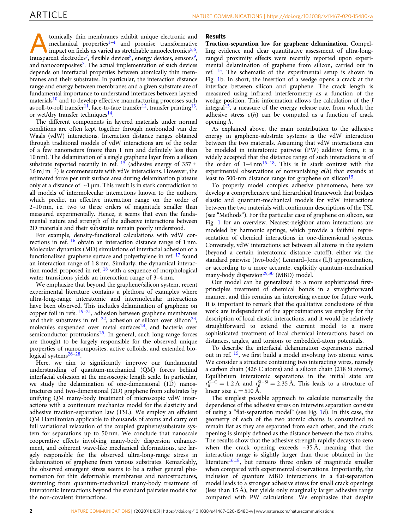tomically thin membranes exhibit unique electronic and mechanical properties $1-4$  $1-4$  $1-4$  and promise transformative impact on fields as varied as stretchable nanoelectronics<sup>5,6</sup>, transparent electrodes<sup>7</sup>, flexible devices<sup>8</sup>, energy devices, sensors<sup>9</sup>, and nanocomposites<sup>7</sup>. The actual implementation of such devices depends on interfacial properties between atomically thin membranes and their substrates. In particular, the interaction distance range and energy between membranes and a given substrate are of fundamental importance to understand interfaces between layered materials<sup>[10](#page-7-0)</sup> and to develop effective manufacturing processes such as roll-to-roll transfer<sup>[11](#page-7-0)</sup>, face-to-face transfer<sup>12</sup>, transfer printing<sup>13</sup>, or wet/dry transfer techniques<sup>14</sup>.

The different components in layered materials under normal conditions are often kept together through nonbonded van der Waals (vdW) interactions. Interaction distance ranges obtained through traditional models of vdW interactions are of the order of a few nanometers (more than 1 nm and definitely less than 10 nm). The delamination of a single graphene layer from a silicon substrate reported recently in ref. <sup>[15](#page-7-0)</sup> (adhesive energy of 357 ± 16 mJ m<sup>−</sup>2) is commensurate with vdW interactions. However, the estimated force per unit surface area during delamination plateaus only at a distance of  $\sim$ 1 µm. This result is in stark contradiction to all models of intermolecular interactions known to the authors, which predict an effective interaction range on the order of 2–10 nm, i.e. two to three orders of magnitude smaller than measured experimentally. Hence, it seems that even the fundamental nature and strength of the adhesive interactions between 2D materials and their substrates remain poorly understood.

For example, density-functional calculations with vdW corrections in ref. [16](#page-7-0) obtain an interaction distance range of 1 nm. Molecular dynamics (MD) simulations of interfacial adhesion of a functionalized graphene surface and polyethylene in ref. <sup>[17](#page-7-0)</sup> found an interaction range of 1.8 nm. Similarly, the dynamical interaction model proposed in ref.  $^{18}$  $^{18}$  $^{18}$  with a sequence of morphological water transitions yields an interaction range of 3–4 nm.

We emphasize that beyond the graphene/silicon system, recent experimental literature contains a plethora of examples where ultra-long-range interatomic and intermolecular interactions have been observed. This includes delamination of graphene on copper foil in refs. <sup>[19](#page-7-0)–21</sup>, adhesion between graphene membranes and their substrates in ref.  $^{22}$ , adhesion of silicon over silicon<sup>23</sup>, molecules suspended over metal surfaces $24$ , and bacteria over semiconductor protrusions $25$ . In general, such long-range forces are thought to be largely responsible for the observed unique properties of nanocomposites, active colloids, and extended biological systems<sup>26-28</sup>.

Here, we aim to significantly improve our fundamental understanding of quantum-mechanical (QM) forces behind interfacial cohesion at the mesoscopic length scale. In particular, we study the delamination of one-dimensional (1D) nanostructures and two-dimensional (2D) graphene from substrates by unifying QM many-body treatment of microscopic vdW interactions with a continuum mechanics model for the elasticity and adhesive traction-separation law (TSL). We employ an efficient QM Hamiltonian applicable to thousands of atoms and carry out full variational relaxation of the coupled graphene/substrate system for separations up to 50 nm. We conclude that nanoscale cooperative effects involving many-body dispersion enhancement, and coherent wave-like mechanical deformations, are largely responsible for the observed ultra-long-range stress in delamination of graphene from various substrates. Remarkably, the observed emergent stress seems to be a rather general phenomenon for thin deformable membranes and nanostructures, stemming from quantum-mechanical many-body treatment of interatomic interactions beyond the standard pairwise models for the non-covalent interactions.

#### Results

Traction-separation law for graphene delamination. Compelling evidence and clear quantitative assessment of ultra-longranged proximity effects were recently reported upon experimental delamination of graphene from silicon, carried out in ref. [15.](#page-7-0) The schematic of the experimental setup is shown in Fig. [1b](#page-2-0). In short, the insertion of a wedge opens a crack at the interface between silicon and graphene. The crack length is measured using infrared interferometry as a function of the wedge position. This information allows the calculation of the J integral<sup>15</sup>, a measure of the energy release rate, from which the adhesive stress  $\sigma(h)$  can be computed as a function of crack opening h.

As explained above, the main contribution to the adhesive energy in graphene-substrate systems is the vdW interaction between the two materials. Assuming that vdW interactions can be modeled in interatomic pairwise (PW) additive form, it is widely accepted that the distance range of such interactions is of the order of  $1-4 \text{ nm}^{16-18}$  $1-4 \text{ nm}^{16-18}$  $1-4 \text{ nm}^{16-18}$ . This is in stark contrast with the experimental observations of nonvanishing  $\sigma(h)$  that extends at least to 500-nm distance range for graphene on silicon $15$ .

To properly model complex adhesive phenomena, here we develop a comprehensive and hierarchical framework that bridges elastic and quantum-mechanical models for vdW interactions between the two materials with continuum descriptions of the TSL (see "Methods"). For the particular case of graphene on silicon, see Fig. [1](#page-2-0) for an overview. Nearest-neighbor atom interactions are modeled by harmonic springs, which provide a faithful representation of chemical interactions in one-dimensional systems. Conversely, vdW interactions act between all atoms in the system (beyond a certain interatomic distance cutoff), either via the standard pairwise (two-body) Lennard–Jones (LJ) approximation, or according to a more accurate, explicitly quantum-mechanical many-body dispersion<sup>29,30</sup> (MBD) model.

Our model can be generalized to a more sophisticated firstprinciples treatment of chemical bonds in a straightforward manner, and this remains an interesting avenue for future work. It is important to remark that the qualitative conclusions of this work are independent of the approximations we employ for the description of local elastic interactions, and it would be relatively straightforward to extend the current model to a more sophisticated treatment of local chemical interactions based on distances, angles, and torsions or embedded-atom potentials.

To describe the interfacial delamination experiments carried out in ref.  $15$ , we first build a model involving two atomic wires. We consider a structure containing two interacting wires, namely a carbon chain (426 C atoms) and a silicon chain (218 Si atoms). Equilibrium interatomic separations in the initial state are  $r_0^{\text{C--C}} = 1.2 \text{ Å}$  and  $r_0^{\text{Si--Si}} = 2.35 \text{ Å}$ . This leads to a structure of linear size  $L = 510$  Å.

The simplest possible approach to calculate numerically the dependence of the adhesive stress on interwire separation consists of using a "flat-separation model" (see Fig. [1d](#page-2-0)). In this case, the geometry of each of the two atomic chains is constrained to remain flat as they are separated from each other, and the crack opening is simply defined as the distance between the two chains. The results show that the adhesive strength rapidly decays to zero when the crack opening exceeds  $\sim$ 35 Å, meaning that the interaction range is slightly larger than those obtained in the literature<sup>[16](#page-7-0),[18](#page-7-0)</sup>, but remains three orders of magnitude smaller when compared with experimental observations. Importantly, the inclusion of quantum MBD interactions in a flat-separation model leads to a stronger adhesive stress for small crack openings (less than 15 Å), but yields only marginally larger adhesive range compared with PW calculations. We emphasize that despite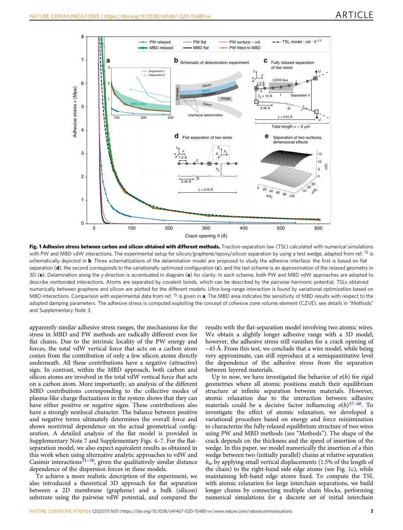<span id="page-2-0"></span>

Fig. 1 Adhesive stress between carbon and silicon obtained with different methods. Traction-separation law (TSL) calculated with numerical simulations with PW and MBD vdW interactions. The experimental setup for silicon/graphene/epoxy/silicon separation by using a test wedge, adapted from ref. <sup>[15](#page-7-0)</sup> is schematically depicted in **b**. Three schematizations of the delamination model are proposed to study the adhesive interface: the first is based on flat separation (d), the second corresponds to the variationally optimized configuration (c), and the last scheme is an approximation of the relaxed geometry in 3D (e). Delamination along the y direction is accentuated in diagram (e) for clarity. In each scheme, both PW and MBD vdW approaches are adopted to describe nonbonded interactions. Atoms are separated by covalent bonds, which can be described by the pairwise harmonic potential. TSLs obtained numerically between graphene and silicon are plotted for the different models. Ultra-long-range interaction is found by variational optimization based on MBD interactions. Comparison with experimental data from ref. <sup>[15](#page-7-0)</sup> is given in **a**. The MBD area indicates the sensitivity of MBD results with respect to the adopted damping parameters. The adhesive stress is computed exploiting the concept of cohesive zone volume element (CZVE), see details in "Methods" and Supplementary Note 3.

apparently similar adhesive stress ranges, the mechanisms for the stress in MBD and PW methods are radically different even for flat chains. Due to the intrinsic locality of the PW energy and forces, the total vdW vertical force that acts on a carbon atom comes from the contribution of only a few silicon atoms directly underneath. All these contributions have a negative (attractive) sign. In contrast, within the MBD approach, both carbon and silicon atoms are involved in the total vdW vertical force that acts on a carbon atom. More importantly, an analysis of the different MBD contributions corresponding to the collective modes of plasma-like charge fluctuations in the system shows that they can have either positive or negative signs. These contributions also have a strongly nonlocal character. The balance between positive and negative terms ultimately determines the overall force and shows nontrivial dependence on the actual geometrical configuration. A detailed analysis of the flat model is provided in Supplementary Note 7 and Supplementary Figs. 4–7. For the flatseparation model, we also expect equivalent results as obtained in this work when using alternative analytic approaches to vdW and Casimir interactions $31-36$  $31-36$  $31-36$ , given the qualitatively similar distance dependence of the dispersion forces in these models.

To achieve a more realistic description of the experiment, we also introduced a theoretical 3D approach for flat separation between a 2D membrane (graphene) and a bulk (silicon) substrate using the pairwise vdW potential, and compared the results with the flat-separation model involving two atomic wires. We obtain a slightly longer adhesive range with a 3D model; however, the adhesive stress still vanishes for a crack opening of  $\sim$ 45 Å. From this test, we conclude that a wire model, while being very approximate, can still reproduce at a semiquantitative level the dependence of the adhesive stress from the separation between layered materials.

Up to now, we have investigated the behavior of  $\sigma(h)$  for rigid geometries where all atomic positions match their equilibrium structure at infinite separation between materials. However, atomic relaxation due to the interaction between adhesive materials could be a decisive factor influencing  $\sigma(h)$ <sup>[37](#page-7-0)-[40](#page-7-0)</sup>. To investigate the effect of atomic relaxation, we developed a variational procedure based on energy and force minimization to characterize the fully relaxed equilibrium structure of two wires using PW and MBD methods (see "Methods"). The shape of the crack depends on the thickness and the speed of insertion of the wedge. In this paper, we model numerically the insertion of a thin wedge between two (initially parallel) chains at relative separation  $h_0$ , by applying small vertical displacements (1.5% of the length of the chain) to the right-hand side edge atoms (see Fig. 1c), while maintaining left-hand edge atoms fixed. To compute the TSL with atomic relaxation for large interchain separations, we build longer chains by connecting multiple chain blocks, performing numerical simulations for a discrete set of initial interchain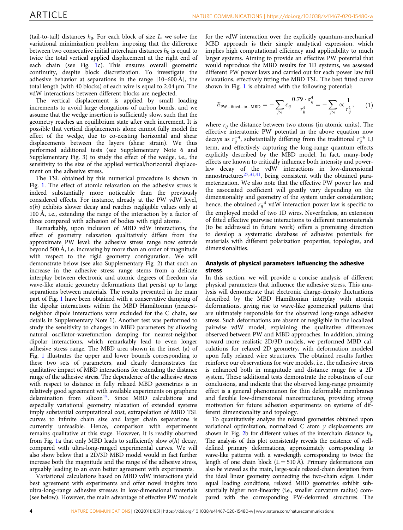(tail-to-tail) distances  $h_0$ . For each block of size L, we solve the variational minimization problem, imposing that the difference between two consecutive initial interchain distances  $h_0$  is equal to twice the total vertical applied displacement at the right end of each chain (see Fig. [1](#page-2-0)c). This ensures overall geometric continuity, despite block discretization. To investigate the adhesive behavior at separations in the range  $[10-600 \text{ Å}]$ , the total length (with 40 blocks) of each wire is equal to 2.04 μm. The vdW interactions between different blocks are neglected.

The vertical displacement is applied by small loading increments to avoid large elongations of carbon bonds, and we assume that the wedge insertion is sufficiently slow, such that the geometry reaches an equilibrium state after each increment. It is possible that vertical displacements alone cannot fully model the effect of the wedge, due to co-existing horizontal and shear displacements between the layers (shear strain). We thus performed additional tests (see Supplementary Note 6 and Supplementary Fig. 3) to study the effect of the wedge, i.e., the sensitivity to the size of the applied vertical/horizontal displacement on the adhesive stress.

The TSL obtained by this numerical procedure is shown in Fig. [1.](#page-2-0) The effect of atomic relaxation on the adhesive stress is indeed substantially more noticeable than the previously considered effects. For instance, already at the PW vdW level,  $\sigma(h)$  exhibits slower decay and reaches negligible values only at 100 Å, i.e., extending the range of the interaction by a factor of three compared with adhesion of bodies with rigid atoms.

Remarkably, upon inclusion of MBD vdW interactions, the effect of geometry relaxation qualitatively differs from the approximate PW level: the adhesive stress range now extends beyond 500 Å, i.e. increasing by more than an order of magnitude with respect to the rigid geometry configuration. We will demonstrate below (see also Supplementary Fig. 2) that such an increase in the adhesive stress range stems from a delicate interplay between electronic and atomic degrees of freedom via wave-like atomic geometry deformations that persist up to large separations between materials. The results presented in the main part of Fig. [1](#page-2-0) have been obtained with a conservative damping of the dipolar interactions within the MBD Hamiltonian (nearestneighbor dipole interactions were excluded for the C chain, see details in Supplementary Note 1). Another test was performed to study the sensitivity to changes in MBD parameters by allowing natural oscillator-wavefunction damping for nearest-neighbor dipolar interactions, which remarkably lead to even longer adhesive stress range. The MBD area shown in the inset (a) of Fig. [1](#page-2-0) illustrates the upper and lower bounds corresponding to these two sets of parameters, and clearly demonstrates the qualitative impact of MBD interactions for extending the distance range of the adhesive stress. The dependence of the adhesive stress with respect to distance in fully relaxed MBD geometries is in relatively good agreement with available experiments on graphene delamination from silicon $15$ . Since MBD calculations and especially variational geometry relaxation of extended systems imply substantial computational cost, extrapolation of MBD TSL curves to infinite chain size and larger chain separations is currently unfeasible. Hence, comparison with experiments remains qualitative at this stage. However, it is readily observed from Fig. [1](#page-2-0)a that only MBD leads to sufficiently slow  $\sigma(h)$  decay, compared with ultra-long-ranged experimental curves. We will also show below that a 2D/3D MBD model would in fact further increase both the magnitude and the range of the adhesive stress, arguably leading to an even better agreement with experiments.

Variational calculations based on MBD vdW interactions yield best agreement with experiments and offer novel insights into ultra-long-range adhesive stresses in low-dimensional materials (see below). However, the main advantage of effective PW models

for the vdW interaction over the explicitly quantum-mechanical MBD approach is their simple analytical expression, which implies high computational efficiency and applicability to much larger systems. Aiming to provide an effective PW potential that would reproduce the MBD results for 1D systems, we assessed different PW power laws and carried out for each power law full relaxations, effectively fitting the MBD TSL. The best fitted curve shown in Fig. [1](#page-2-0) is obtained with the following potential:

$$
E_{\rm PW-fitted-to-MBD} = -\sum_{j>i} \epsilon_{ij} \frac{0.79 \cdot \sigma_{ij}^4}{r_{ij}^4} = -\sum_{j>i} \propto \frac{1}{r_{ij}^4},\qquad(1)
$$

where  $r_{ii}$  the distance between two atoms (in atomic units). The effective interatomic PW potential in the above equation now decays as  $r_{ij}^{-4}$ , substantially differing from the traditional  $r_{ij}^{-6}$  LJ term, and effectively capturing the long-range quantum effects explicitly described by the MBD model. In fact, many-body effects are known to critically influence both intensity and powerlaw decay of the vdW interactions in low-dimensional nanostructures<sup>[27](#page-7-0),[31](#page-7-0),[41](#page-7-0)</sup>, being consistent with the obtained parameterization. We also note that the effective PW power law and the associated coefficient will greatly vary depending on the dimensionality and geometry of the system under consideration; hence, the obtained  $r_{ij}^{-4}$  vdW interaction power law is specific to the employed model of two 1D wires. Nevertheless, an extension of fitted effective pairwise interactions to different nanomaterials (to be addressed in future work) offers a promising direction to develop a systematic database of adhesive potentials for materials with different polarization properties, topologies, and dimensionalities.

### Analysis of physical parameters influencing the adhesive stress

In this section, we will provide a concise analysis of different physical parameters that influence the adhesive stress. This analysis will demonstrate that electronic charge-density fluctuations described by the MBD Hamiltonian interplay with atomic deformations, giving rise to wave-like geometrical patterns that are ultimately responsible for the observed long-range adhesive stress. Such deformations are absent or negligible in the localized pairwise vdW model, explaining the qualitative differences observed between PW and MBD approaches. In addition, aiming toward more realistic 2D/3D models, we performed MBD calculations for relaxed 2D geometry, with deformation modeled upon fully relaxed wire structures. The obtained results further reinforce our observations for wire models, i.e., the adhesive stress is enhanced both in magnitude and distance range for a 2D system. These additional tests demonstrate the robustness of our conclusions, and indicate that the observed long-range proximity effect is a general phenomenon for thin deformable membranes and flexible low-dimensional nanostructures, providing strong motivation for future adhesion experiments on systems of different dimensionality and topology.

To quantitatively analyze the relaxed geometries obtained upon variational optimization, normalized  $C$  atom  $y$  displacements are shown in Fig. [2](#page-4-0)b for different values of the interchain distance  $h_0$ . The analysis of this plot consistently reveals the existence of welldefined primary deformations, approximately corresponding to wave-like patterns with a wavelength corresponding to twice the length of one chain block  $(L = 510 \text{ Å})$ . Primary deformations can also be viewed as the main, large-scale relaxed-chain deviation from the ideal linear geometry connecting the two-chain edges. Under equal loading conditions, relaxed MBD geometries exhibit substantially higher non-linearity (i.e., smaller curvature radius) compared with the corresponding PW-deformed structures. The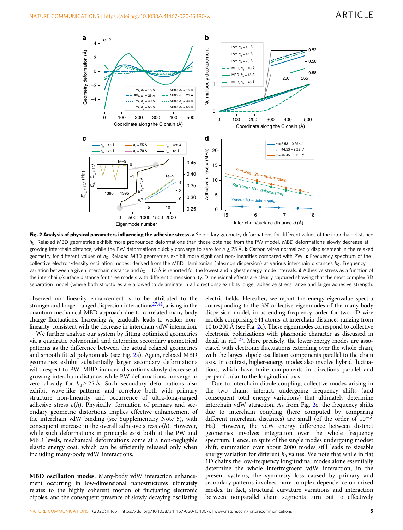<span id="page-4-0"></span>

Fig. 2 Analysis of physical parameters influencing the adhesive stress. a Secondary geometry deformations for different values of the interchain distance h<sub>0</sub>. Relaxed MBD geometries exhibit more pronounced deformations than those obtained from the PW model. MBD deformations slowly decrease at growing interchain distance, while the PW deformations quickly converge to zero for  $h \geq 25$  Å. b Carbon wires normalized y displacement in the relaxed geometry for different values of  $h_0$ . Relaxed MBD geometries exhibit more significant non-linearities compared with PW.  $\mathbf{c}$  Frequency spectrum of the collective electron-density oscillation modes, derived from the MBD Hamiltonian (plasmon dispersion) at various interchain distances ho. Frequency variation between a given interchain distance and  $h_0 = 10 \text{ Å}$  is reported for the lowest and highest energy mode intervals. **d** Adhesive stress as a function of the interchain/surface distance for three models with different dimensionality. Dimensional effects are clearly captured showing that the most complex 3D separation model (where both structures are allowed to delaminate in all directions) exhibits longer adhesive stress range and larger adhesive strength.

observed non-linearity enhancement is to be attributed to the stronger and longer-ranged dispersion interactions $27,41$ , arising in the quantum-mechanical MBD approach due to correlated many-body charge fluctuations. Increasing  $h_0$  gradually leads to weaker nonlinearity, consistent with the decrease in interchain vdW interaction.

We further analyze our system by fitting optimized geometries via a quadratic polynomial, and determine secondary geometrical patterns as the difference between the actual relaxed geometries and smooth fitted polynomials (see Fig. 2a). Again, relaxed MBD geometries exhibit substantially larger secondary deformations with respect to PW. MBD-induced distortions slowly decrease at growing interchain distance, while PW deformations converge to zero already for  $h_0 \geq 25$  Å. Such secondary deformations also exhibit wave-like patterns and correlate both with primary structure non-linearity and occurrence of ultra-long-ranged adhesive stress  $\sigma(h)$ . Physically, formation of primary and secondary geometric distortions implies effective enhancement of the interchain vdW binding (see Supplementary Note 5), with consequent increase in the overall adhesive stress  $\sigma(h)$ . However, while such deformations in principle exist both at the PW and MBD levels, mechanical deformations come at a non-negligible elastic energy cost, which can be efficiently released only when including many-body vdW interactions.

MBD oscillation modes. Many-body vdW interaction enhancement occurring in low-dimensional nanostructures ultimately relates to the highly coherent motion of fluctuating electronic dipoles, and the consequent presence of slowly decaying oscillating electric fields. Hereafter, we report the energy eigenvalue spectra corresponding to the 3N collective eigenmodes of the many-body dispersion model, in ascending frequency order for two 1D wire models comprising 644 atoms, at interchain distances ranging from 10 to 200 Å (see Fig. 2c). These eigenmodes correspond to collective electronic polarizations with plasmonic character as discussed in detail in ref.  $27$ . More precisely, the lower-energy modes are associated with electronic fluctuations extending over the whole chain, with the largest dipole oscillation components parallel to the chain axis. In contrast, higher-energy modes also involve hybrid fluctuations, which have finite components in directions parallel and perpendicular to the longitudinal axis.

Due to interchain dipole coupling, collective modes arising in the two chains interact, undergoing frequency shifts (and consequent total energy variations) that ultimately determine interchain vdW attraction. As from Fig. 2c, the frequency shifts due to interchain coupling (here computed by comparing different interchain distances) are small (of the order of  $10^{-5}$ Ha). However, the vdW energy difference between distinct geometries involves integration over the whole frequency spectrum. Hence, in spite of the single modes undergoing modest shift, summation over about 2000 modes still leads to sizeable energy variation for different  $h_0$  values. We note that while in flat 1D chains the low-frequency longitudinal modes alone essentially determine the whole interfragment vdW interaction, in the present systems, the symmetry loss caused by primary and secondary patterns involves more complex dependence on mixed modes. In fact, structural curvature variations and interaction between nonparallel chain segments turn out to effectively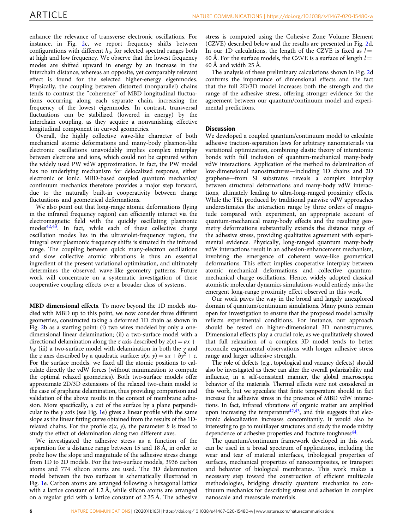enhance the relevance of transverse electronic oscillations. For instance, in Fig. [2c](#page-4-0), we report frequency shifts between configurations with different  $h_0$ , for selected spectral ranges both at high and low frequency. We observe that the lowest frequency modes are shifted upward in energy by an increase in the interchain distance, whereas an opposite, yet comparably relevant effect is found for the selected higher-energy eigenmodes. Physically, the coupling between distorted (nonparallel) chains tends to contrast the "coherence" of MBD longitudinal fluctuations occurring along each separate chain, increasing the frequency of the lowest eigenmodes. In contrast, transversal fluctuations can be stabilized (lowered in energy) by the interchain coupling, as they acquire a nonvanishing effective longitudinal component in curved geometries.

Overall, the highly collective wave-like character of both mechanical atomic deformations and many-body plasmon-like electronic oscillations unavoidably implies complex interplay between electrons and ions, which could not be captured within the widely used PW vdW approximation. In fact, the PW model has no underlying mechanism for delocalized response, either electronic or ionic. MBD-based coupled quantum mechanics/ continuum mechanics therefore provides a major step forward, due to the naturally built-in cooperativity between charge fluctuations and geometrical deformations.

We also point out that long-range atomic deformations (lying in the infrared frequency region) can efficiently interact via the electromagnetic field with the quickly oscillating plasmonic modes $42,43$ . In fact, while each of these collective charge oscillation modes lies in the ultraviolet-frequency region, the integral over plasmonic frequency shifts is situated in the infrared range. The coupling between quick many-electron oscillations and slow collective atomic vibrations is thus an essential ingredient of the present variational optimization, and ultimately determines the observed wave-like geometry patterns. Future work will concentrate on a systematic investigation of these cooperative coupling effects over a broader class of systems.

MBD dimensional effects. To move beyond the 1D models studied with MBD up to this point, we now consider three different geometries, constructed taking a deformed 1D chain as shown in Fig. [2b](#page-4-0) as a starting point: (i) two wires modeled by only a onedimensional linear delamination; (ii) a two-surface model with a directional delamination along the z axis described by  $z(x) = ax +$  $h_0$ ; (iii) a two-surface model with delamination in both the y and the *z* axes described by a quadratic surface:  $z(x, y) = ax + by^2 + c$ . For the surface models, we fixed all the atomic positions to calculate directly the vdW forces (without minimization to compute the optimal relaxed geometries). Both two-surface models offer approximate 2D/3D extensions of the relaxed two-chain model to the case of graphene delamination, thus providing comparison and validation of the above results in the context of membrane adhesion. More specifically, a cut of the surface by a plane perpendicular to the  $y$  axis (see Fig. [1e](#page-2-0)) gives a linear profile with the same slope as the linear fitting curve obtained from the results of the 1Drelaxed chains. For the profile  $z(x, y)$ , the parameter b is fixed to study the effect of delamination along two different axes.

We investigated the adhesive stress as a function of the separation for a distance range between 15 and 18 Å, in order to probe how the slope and magnitude of the adhesive stress change from 1D to 2D models. For the two-surface models, 3936 carbon atoms and 774 silicon atoms are used. The 3D delamination model between the two surfaces is schematically illustrated in Fig. [1e](#page-2-0). Carbon atoms are arranged following a hexagonal lattice with a lattice constant of 1.2 Å, while silicon atoms are arranged on a regular grid with a lattice constant of 2.35 Å. The adhesive

stress is computed using the Cohesive Zone Volume Element (CZVE) described below and the results are presented in Fig. [2d](#page-4-0). In our 1D calculations, the length of the CZVE is fixed as  $l =$ 60 Å. For the surface models, the CZVE is a surface of length  $l =$ 60 Å and width 25 Å.

The analysis of these preliminary calculations shown in Fig. [2d](#page-4-0) confirms the importance of dimensional effects and the fact that the full 2D/3D model increases both the strength and the range of the adhesive stress, offering stronger evidence for the agreement between our quantum/continuum model and experimental predictions.

#### Discussion

We developed a coupled quantum/continuum model to calculate adhesive traction-separation laws for arbitrary nanomaterials via variational optimization, combining elastic theory of interatomic bonds with full inclusion of quantum-mechanical many-body vdW interactions. Application of the method to delamination of low-dimensional nanostructures—including 1D chains and 2D graphene—from Si substrates reveals a complex interplay between structural deformations and many-body vdW interactions, ultimately leading to ultra-long-ranged proximity effects. While the TSL produced by traditional pairwise vdW approaches underestimates the interaction range by three orders of magnitude compared with experiment, an appropriate account of quantum-mechanical many-body effects and the resulting geometry deformations substantially extends the distance range of the adhesive stress, providing qualitative agreement with experimental evidence. Physically, long-ranged quantum many-body vdW interactions result in an adhesion-enhancement mechanism, involving the emergence of coherent wave-like geometrical deformations. This effect implies cooperative interplay between atomic mechanical deformations and collective quantummechanical charge oscillations. Hence, widely adopted classical atomistic molecular dynamics simulations would entirely miss the emergent long-range proximity effect observed in this work.

Our work paves the way in the broad and largely unexplored domain of quantum/continuum simulations. Many points remain open for investigation to ensure that the proposed model actually reflects experimental conditions. For instance, our approach should be tested on higher-dimensional 3D nanostructures. Dimensional effects play a crucial role, as we qualitatively showed that full relaxation of a complex 3D model tends to better reconcile experimental observations with longer adhesive stress range and larger adhesive strength.

The role of defects (e.g., topological and vacancy defects) should also be investigated as these can alter the overall polarizability and influence, in a self-consistent manner, the global macroscopic behavior of the materials. Thermal effects were not considered in this work, but we speculate that finite temperature should in fact increase the adhesive stress in the presence of MBD vdW interactions. In fact, infrared vibrations of organic matter are amplified upon increasing the temperature $42,43$ , and this suggests that electronic delocalization increases concomitantly. It would also be interesting to go to multilayer structures and study the mode mixity dependence of adhesive properties and fracture toughness<sup>44</sup>.

The quantum/continuum framework developed in this work can be used in a broad spectrum of applications, including the wear and tear of material interfaces, tribological properties of surfaces, mechanical properties of nanocomposites, or transport and behavior of biological membranes. This work makes a necessary step toward the construction of efficient multiscale methodologies, bridging directly quantum mechanics to continuum mechanics for describing stress and adhesion in complex nanoscale and mesoscale materials.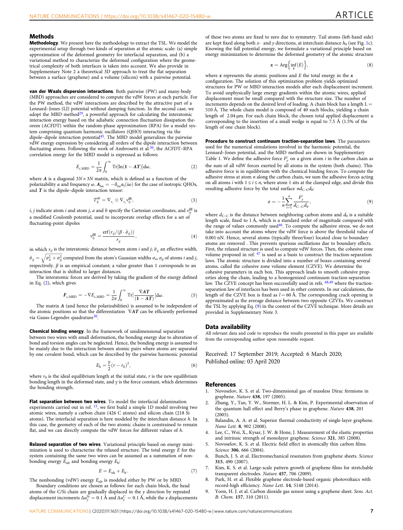#### <span id="page-6-0"></span>**Methods**

Methodology. We present here the methodology to extract the TSL. We model the experimental setup through two kinds of separation at the atomic scale: (a) simple approximation of the deformed geometry for interfacial separation, and (b) a variational method to characterize the deformed configuration where the geometrical complexity of both interfaces is taken into account. We also provide in Supplementary Note 2 a theoretical 3D approach to treat the flat separation between a surface (graphene) and a volume (silicon) with a pairwise potential.

van der Waals dispersion interactions. Both pairwise (PW) and many-body (MBD) approaches are considered to compute the vdW forces at each particle. For the PW method, the vdW interactions are described by the attractive part of a Lennard–Jones (LJ) potential without damping function. In the second case, we adopt the MBD method $29$ , a powerful approach for calculating the interatomic interaction energy based on the adiabatic connection fluctuation dissipation theorem (ACFDT) within the random-phase approximation (RPA) for a model system comprising quantum harmonic oscillators (QHO) interacting via the<br>dipole–dipole interaction potential<sup>45</sup>. The MBD model generalizes the pairwise vdW energy expression by considering all orders of the dipole interaction between fluctuating atoms. Following the work of Ambrosetti et al.<sup>30</sup>, the ACFDT–RPA correlation energy for the MBD model is expressed as follows:

$$
E_{\rm c,MBD} = \frac{1}{2\pi} \int_0^\infty \rm{Tr}[\ln(1 - AT)]d\omega,
$$
\n(2)

where A is a diagonal  $3N \times 3N$  matrix, which is defined as a function of the polarizability α and frequency  $ω$ .  $A_{lm} = -δ_{lm}α_l(iω)$  for the case of isotropic QHOs, and  $T$  is the dipole–dipole interaction tensor:

$$
T_{ij}^{ab} = \nabla_{r_i} \otimes \nabla_{r_j} v_{ij}^{\text{gg}}, \tag{3}
$$

*i*, *j* indicate atom *i* and atom *j*, *a* and *b* specify the Cartesian coordinates, and  $v_{ij}^{\text{gg}}$  is a modified Coulomb potential, used to incorporate overlap effects for a set of fluctuating-point dipoles

$$
v_{ij}^{\rm gg} = \frac{\text{erf}(r_{ij}/(\beta \cdot \tilde{\sigma}_{ij}))}{r_{ij}}, \qquad (4)
$$

in which  $r_{ij}$  is the interatomic distance between atom *i* and *j*;  $\tilde{\sigma}_{ij}$  an effective width,  $\tilde{\sigma}_{ij}=\sqrt{\sigma_{ii}^2+\sigma_{jj}^2}$  computed from the atom's Gaussian widths  $\sigma_{ii}$ ,  $\sigma_{jj}$  of atoms  $i$  and  $j$ , respectively.  $β$  is an empirical constant; a value greater than 1 corresponds to an interaction that is shifted to larger distances.

The interatomic forces are derived by taking the gradient of the energy defined in Eq. (2), which gives

$$
F_{\rm c,MBD} = -\nabla E_{\rm c,MBD} = \frac{1}{2\pi} \int_0^\infty {\rm Tr} \left[ \frac{\nabla A T}{(1 - A T)} \right] \mathrm{d}\omega. \tag{5}
$$

The matrix A (and hence the polarizabilities) is assumed to be independent of the atomic positions so that the differentiation ∇AT can be efficiently performed via Gauss-Legendre quadrature<sup>30</sup>.

#### Chemical binding energy. In the framework of unidimensional separation

between two wires with small deformation, the bonding energy due to alteration of bond and torsion angles can be neglected. Hence, the bonding energy is assumed to be mainly due to the interaction between atomic pairs where atoms are separated by one covalent bond, which can be described by the pairwise harmonic potential

$$
E_{\rm b} = \frac{\gamma}{2} (r - r_0)^2, \tag{6}
$$

where  $r_0$  is the ideal equilibrium length at the initial state, r is the new equilibrium bonding length in the deformed state, and  $\gamma$  is the force constant, which determines the bonding strength.

Flat separation between two wires. To model the interfacial delamination experiments carried out in ref. [15](#page-7-0), we first build a simple 1D model involving two atomic wires, namely a carbon chain (426 C atoms) and silicon chain (218 Si atoms). The interfacial separation is here modeled by the interchain distance h. In this case, the geometry of each of the two atomic chains is constrained to remain flat, and we can directly compute the vdW forces for different values of h.

Relaxed separation of two wires. Variational principle based on energy minimization is used to characterize the relaxed structure. The total energy E for the system containing the same two wires can be assumed as a summation of nonbonding energy  $E_{\text{nb}}$  and bonding energy  $E_{\text{b}}$ :

$$
E = E_{\rm nb} + E_{\rm b}.\tag{7}
$$

The nonbonding (vdW) energy  $E_{\text{nb}}$  is modeled either by PW or by MBD.

Boundary conditions are chosen as follows: for each chain block, the head atoms of the C/Si chain are gradually displaced in the y direction by repeated displacement increments  $\Delta u_y^{\rm Si}=0.1$  Å and  $\Delta u_y^{\rm C}=0.1$  Å, while the x displacements of these two atoms are fixed to zero due to symmetry. Tail atoms (left-hand side) are kept fixed along both  $x-$  and  $y$  directions, at interchain distance  $h_0$  (see Fig. [1](#page-2-0)c). Knowing the full potential energy, we formulate a variational principle based on energy minimization to determine the deformed geometry of the atomic structure

$$
x = \text{Arg}\left\{\inf_{x}(E)\right\},\tag{8}
$$

where  $x$  represents the atomic positions and  $E$  the total energy in the  $x$ configuration. The solution of this optimization problem yields optimized structures for PW or MBD interaction models after each displacement increment. To avoid unphysically large energy gradients within the atomic wires, applied displacement must be small compared with the structure size. The number of increments depends on the desired level of loading. A chain block has a length  $L =$ 510 Å. The whole chain model is composed of 40 such blocks, yielding a chain length of  $2.04 \mu m$ . For each chain block, the chosen total applied displacement u corresponding to the insertion of a small wedge is equal to 7.5 Å (1.5% of the length of one chain block).

Procedure to construct continuum traction-separation laws. The parameters used for the numerical simulations involved in the harmonic potential, the Lennard–Jones potential, and the MBD method are shown in Supplementary Table 1. We define the adhesive force  $F_y^i$  on a given atom *i* in the carbon chain as the sum of all vdW forces exerted by all atoms in the system (both chains). This adhesive force is in equilibrium with the chemical binding forces. To compute the adhesive stress at atom  $n$  along the carbon chain, we sum the adhesive forces acting on all atoms *i* with  $1 \le i \le n$ , where atom 1 sits at the clamped edge, and divide this resulting adhesive force by the total surface  $nd_{C-C}d_0$ :

$$
\sigma = -\frac{1}{n} \sum_{i=1}^{n} \frac{F_{y}^{i}}{d_{C-C} d_{0}},\tag{9}
$$

where  $d_{C-C}$  is the distance between neighboring carbon atoms and  $d_0$  is a suitable length scale, fixed to 1 Å, which is a standard order of magnitude compared with the range of values commonly used<sup>[46](#page-7-0)</sup>. To compute the adhesive stress, we do not take into account the atoms where the vdW force is above the threshold value of 0.001 nN. Hence, several atoms (typically three/four) located close to boundary atoms are removed . This prevents spurious oscillations due to boundary effects. First, the relaxed structure is used to compute vdW forces. Then, the cohesive zone volume proposed in ref.  $47$  is used as a basis to construct the traction-separation laws. The atomic structure is divided into a number of boxes containing several atoms, called the cohesive zone volume element (CZVE). We determine the cohesive parameters in each box. This approach leads to smooth cohesive properties along the chain, leading to a homogenized continuum traction-separation law. The CZVE concept has been successfully used in refs.  $48,49$  $48,49$  $48,49$  where the tractionseparation law of interfaces has been used in other contexts. In our calculations, the length of the CZVE box is fixed as  $l = 60 \text{ Å}$ . The corresponding crack opening is approximated as the average distance between two opposite CZVEs. We construct the TSL by applying Eq. (9) in the context of the CZVE technique. More details are provided in Supplementary Note 3.

#### Data availability

All relevant data and code to reproduce the results presented in this paper are available from the corresponding author upon reasonable request.

Received: 17 September 2019; Accepted: 6 March 2020; Published online: 03 April 2020

#### **References**

- 1. Novoselov, K. S. et al. Two-dimensional gas of massless Dirac fermions in graphene. Nature 438, 197 (2005).
- 2. Zhang, Y., Tan, Y. W., Stormer, H. L. & Kim, P. Experimental observation of the quantum hall effect and Berry's phase in graphene. Nature 438, 201  $(2005)$
- Balandin, A. A. et al. Superior thermal conductivity of single-layer graphene. Nano Lett. 8, 902 (2008).
- Lee, C., Wei, X., Kysar, J. W. & Hone, J. Measurement of the elastic properties and intrinsic strength of monolayer graphene. Science 321, 385 (2008).
- 5. Novoselov, K. S. et al. Electric field effect in atomically thin carbon films. Science 306, 666 (2004).
- 6. Bunch, J. S. et al. Electromechanical resonators from graphene sheets. Science 315, 490 (2007).
- 7. Kim, K. S. et al. Large-scale pattern growth of graphene films for stretchable transparent electrodes. Nature 457, 706 (2009).
- 8. Park, H. et al. Flexible graphene electrode-based organic photovoltaics with record-high efficiency. Nano Lett. 14, 5148 (2014).
- 9. Yoon, H. J. et al. Carbon dioxide gas sensor using a graphene sheet. Sens. Act. B: Chem. 157, 310 (2011).